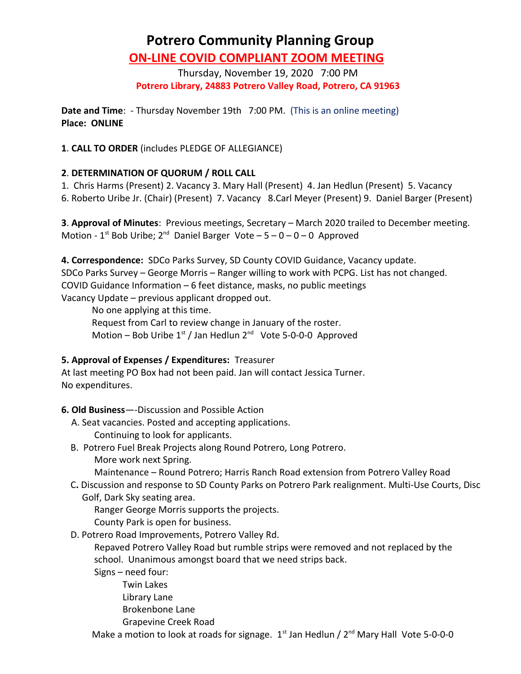# **Potrero Community Planning Group ON-LINE COVID COMPLIANT ZOOM MEETING**

Thursday, November 19, 2020 7:00 PM **Potrero Library, 24883 Potrero Valley Road, Potrero, CA 91963**

**Date and Time**: - Thursday November 19th 7:00 PM. (This is an online meeting) **Place: ONLINE**

**1**. **CALL TO ORDER** (includes PLEDGE OF ALLEGIANCE)

## **2**. **DETERMINATION OF QUORUM / ROLL CALL**

1. Chris Harms (Present) 2. Vacancy 3. Mary Hall (Present) 4. Jan Hedlun (Present) 5. Vacancy

6. Roberto Uribe Jr. (Chair) (Present) 7. Vacancy 8.Carl Meyer (Present) 9. Daniel Barger (Present)

**3**. **Approval of Minutes**: Previous meetings, Secretary – March 2020 trailed to December meeting. Motion -  $1^{st}$  Bob Uribe;  $2^{nd}$  Daniel Barger Vote -  $5 - 0 - 0 - 0$  Approved

**4. Correspondence:** SDCo Parks Survey, SD County COVID Guidance, Vacancy update. SDCo Parks Survey – George Morris – Ranger willing to work with PCPG. List has not changed. COVID Guidance Information – 6 feet distance, masks, no public meetings Vacancy Update – previous applicant dropped out.

No one applying at this time.

Request from Carl to review change in January of the roster. Motion – Bob Uribe  $1<sup>st</sup>$  / Jan Hedlun  $2<sup>nd</sup>$  Vote 5-0-0-0 Approved

### **5. Approval of Expenses / Expenditures:** Treasurer

At last meeting PO Box had not been paid. Jan will contact Jessica Turner. No expenditures.

### **6. Old Business**—-Discussion and Possible Action

- A. Seat vacancies. Posted and accepting applications.
	- Continuing to look for applicants.
- B.Potrero Fuel Break Projects along Round Potrero, Long Potrero. More work next Spring.

Maintenance – Round Potrero; Harris Ranch Road extension from Potrero Valley Road

 C**.** Discussion and response to SD County Parks on Potrero Park realignment. Multi-Use Courts, Disc Golf, Dark Sky seating area.

Ranger George Morris supports the projects.

County Park is open for business.

D. Potrero Road Improvements, Potrero Valley Rd.

 Repaved Potrero Valley Road but rumble strips were removed and not replaced by the school. Unanimous amongst board that we need strips back.

- Signs need four:
	- Twin Lakes
	- Library Lane
	- Brokenbone Lane
	- Grapevine Creek Road

Make a motion to look at roads for signage.  $1<sup>st</sup>$  Jan Hedlun /  $2<sup>nd</sup>$  Mary Hall Vote 5-0-0-0